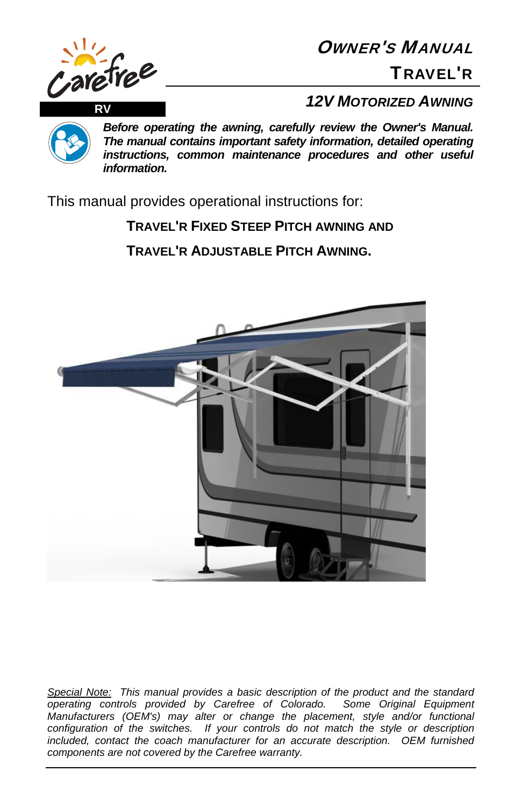

OWNER'S MANUAL

TRAVEL'R

*Before operating the awning, carefully review the Owner's Manual. The manual contains important safety information, detailed operating instructions, common maintenance procedures and other useful information.*

This manual provides operational instructions for:

# **TRAVEL'R FIXED STEEP PITCH AWNING AND**

**TRAVEL'R ADJUSTABLE PITCH AWNING.** 



*Special Note: This manual provides a basic description of the product and the standard operating controls provided by Carefree of Colorado. Some Original Equipment Manufacturers (OEM's) may alter or change the placement, style and/or functional configuration of the switches. If your controls do not match the style or description included, contact the coach manufacturer for an accurate description. OEM furnished components are not covered by the Carefree warranty.*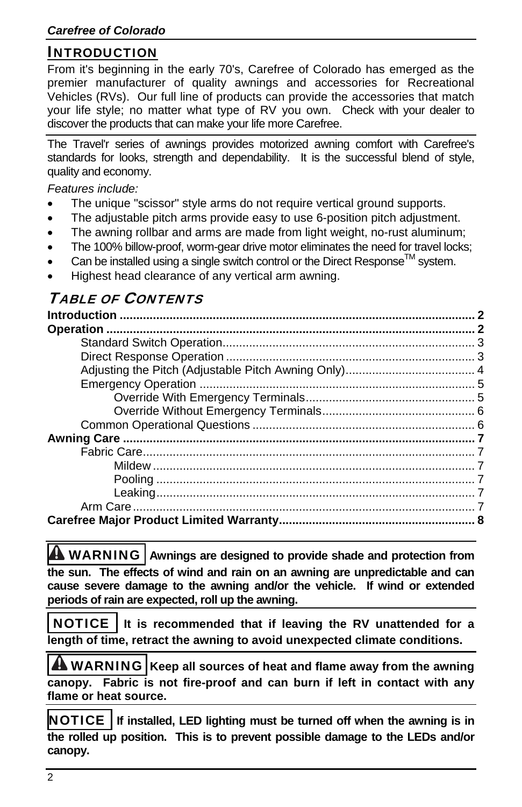## INTRODUCTION

From it's beginning in the early 70's, Carefree of Colorado has emerged as the premier manufacturer of quality awnings and accessories for Recreational Vehicles (RVs). Our full line of products can provide the accessories that match your life style; no matter what type of RV you own. Check with your dealer to discover the products that can make your life more Carefree.

The Travel'r series of awnings provides motorized awning comfort with Carefree's standards for looks, strength and dependability. It is the successful blend of style, quality and economy.

*Features include:* 

- The unique "scissor" style arms do not require vertical ground supports.
- The adjustable pitch arms provide easy to use 6-position pitch adjustment.
- The awning rollbar and arms are made from light weight, no-rust aluminum;
- The 100% billow-proof, worm-gear drive motor eliminates the need for travel locks;
- Can be installed using a single switch control or the Direct Response<sup>TM</sup> system.
- Highest head clearance of any vertical arm awning.

# TABLE OF CONTENTS

**A** WARNING | Awnings are designed to provide shade and protection from **the sun. The effects of wind and rain on an awning are unpredictable and can cause severe damage to the awning and/or the vehicle. If wind or extended periods of rain are expected, roll up the awning.** 

 NOTICE **It is recommended that if leaving the RV unattended for a length of time, retract the awning to avoid unexpected climate conditions.** 

**A WARNING** Keep all sources of heat and flame away from the awning **canopy. Fabric is not fire-proof and can burn if left in contact with any flame or heat source.** 

NOTICE **If installed, LED lighting must be turned off when the awning is in the rolled up position. This is to prevent possible damage to the LEDs and/or canopy.**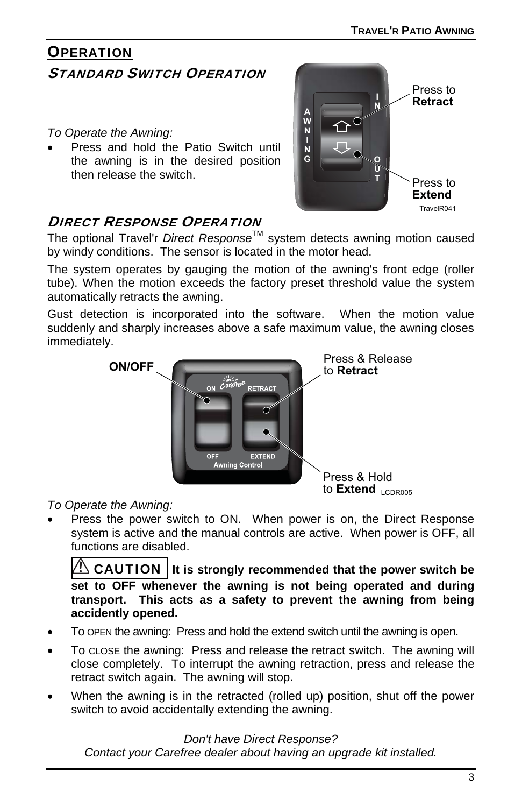## **OPERATION** STANDARD SWITCH OPERATION

*To Operate the Awning:* 

 Press and hold the Patio Switch until the awning is in the desired position then release the switch.



## DIRECT RESPONSE OPERATION

The optional Travel'r *Direct Response*TM system detects awning motion caused by windy conditions. The sensor is located in the motor head.

The system operates by gauging the motion of the awning's front edge (roller tube). When the motion exceeds the factory preset threshold value the system automatically retracts the awning.

Gust detection is incorporated into the software. When the motion value suddenly and sharply increases above a safe maximum value, the awning closes immediately.



#### *To Operate the Awning:*

 Press the power switch to ON. When power is on, the Direct Response system is active and the manual controls are active. When power is OFF, all functions are disabled.

**CAUTION** It is strongly recommended that the power switch be **set to OFF whenever the awning is not being operated and during transport. This acts as a safety to prevent the awning from being accidently opened.** 

- To OPEN the awning: Press and hold the extend switch until the awning is open.
- To CLOSE the awning: Press and release the retract switch. The awning will close completely. To interrupt the awning retraction, press and release the retract switch again. The awning will stop.
- When the awning is in the retracted (rolled up) position, shut off the power switch to avoid accidentally extending the awning.

*Don't have Direct Response? Contact your Carefree dealer about having an upgrade kit installed.*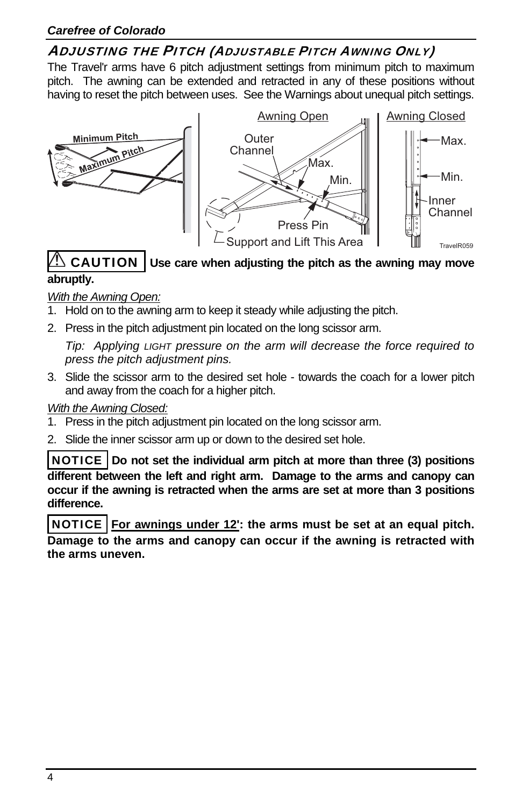## ADJUSTING THE PITCH (ADJUSTABLE PITCH AWNING ONLY)

The Travel'r arms have 6 pitch adjustment settings from minimum pitch to maximum pitch. The awning can be extended and retracted in any of these positions without having to reset the pitch between uses. See the Warnings about unequal pitch settings.



#### CAUTION **Use care when adjusting the pitch as the awning may move abruptly.**

#### *With the Awning Open:*

- 1. Hold on to the awning arm to keep it steady while adjusting the pitch.
- 2. Press in the pitch adjustment pin located on the long scissor arm.

*Tip: Applying LIGHT pressure on the arm will decrease the force required to press the pitch adjustment pins.* 

3. Slide the scissor arm to the desired set hole - towards the coach for a lower pitch and away from the coach for a higher pitch.

#### *With the Awning Closed:*

- 1. Press in the pitch adjustment pin located on the long scissor arm.
- 2. Slide the inner scissor arm up or down to the desired set hole.

NOTICE **Do not set the individual arm pitch at more than three (3) positions different between the left and right arm. Damage to the arms and canopy can occur if the awning is retracted when the arms are set at more than 3 positions difference.** 

NOTICE **For awnings under 12': the arms must be set at an equal pitch. Damage to the arms and canopy can occur if the awning is retracted with the arms uneven.**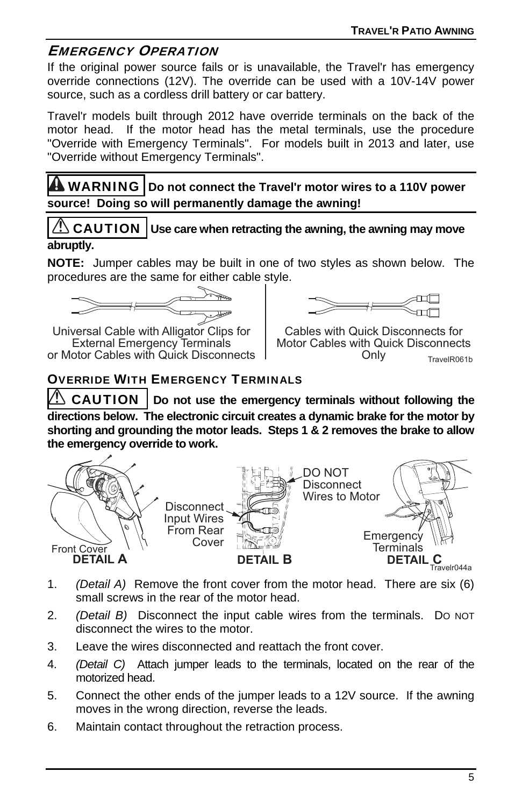## EMERGENCY OPERATION

If the original power source fails or is unavailable, the Travel'r has emergency override connections (12V). The override can be used with a 10V-14V power source, such as a cordless drill battery or car battery.

Travel'r models built through 2012 have override terminals on the back of the motor head. If the motor head has the metal terminals, use the procedure "Override with Emergency Terminals". For models built in 2013 and later, use "Override without Emergency Terminals".

WARNING **Do not connect the Travel'r motor wires to a 110V power source! Doing so will permanently damage the awning!** 

 $\sqrt{2}$  CAUTION | Use care when retracting the awning, the awning may move **abruptly.** 

**NOTE:** Jumper cables may be built in one of two styles as shown below. The procedures are the same for either cable style.

$$
\underbrace{\qquad \qquad }_{\text{max}}
$$

Universal Cable with Alligator Clips for External Emergency Terminals or Motor Cables with Quick Disconnects



Cables with Quick Disconnects for Motor Cables with Quick Disconnects<br>Only TravelR061b

## OVERRIDE WITH EMERGENCY TERMINALS

**CAUTION** Do not use the emergency terminals without following the **directions below. The electronic circuit creates a dynamic brake for the motor by shorting and grounding the motor leads. Steps 1 & 2 removes the brake to allow the emergency override to work.** 



- 1. *(Detail A)* Remove the front cover from the motor head. There are six (6) small screws in the rear of the motor head.
- 2. *(Detail B)* Disconnect the input cable wires from the terminals. DO NOT disconnect the wires to the motor.
- 3. Leave the wires disconnected and reattach the front cover.
- 4. *(Detail C)* Attach jumper leads to the terminals, located on the rear of the motorized head.
- 5. Connect the other ends of the jumper leads to a 12V source. If the awning moves in the wrong direction, reverse the leads.
- 6. Maintain contact throughout the retraction process.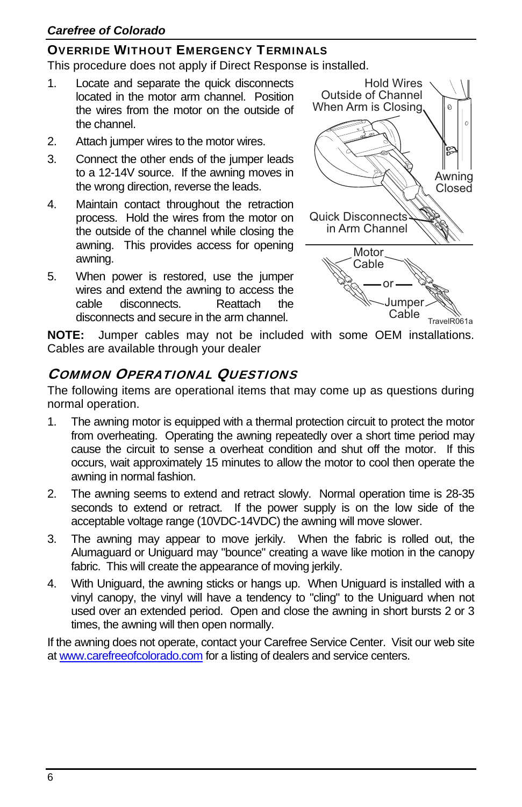#### *Carefree of Colorado*

#### OVERRIDE WITHOUT EMERGENCY TERMINALS

This procedure does not apply if Direct Response is installed.

- 1. Locate and separate the quick disconnects located in the motor arm channel. Position the wires from the motor on the outside of the channel.
- 2. Attach jumper wires to the motor wires.
- 3. Connect the other ends of the jumper leads to a 12-14V source. If the awning moves in the wrong direction, reverse the leads.
- 4. Maintain contact throughout the retraction process. Hold the wires from the motor on the outside of the channel while closing the awning. This provides access for opening awning.
- 5. When power is restored, use the jumper wires and extend the awning to access the cable disconnects. Reattach the disconnects and secure in the arm channel.



**NOTE:** Jumper cables may not be included with some OEM installations. Cables are available through your dealer

## COMMON OPERATIONAL QUESTIONS

The following items are operational items that may come up as questions during normal operation.

- 1. The awning motor is equipped with a thermal protection circuit to protect the motor from overheating. Operating the awning repeatedly over a short time period may cause the circuit to sense a overheat condition and shut off the motor. If this occurs, wait approximately 15 minutes to allow the motor to cool then operate the awning in normal fashion.
- 2. The awning seems to extend and retract slowly. Normal operation time is 28-35 seconds to extend or retract. If the power supply is on the low side of the acceptable voltage range (10VDC-14VDC) the awning will move slower.
- 3. The awning may appear to move jerkily. When the fabric is rolled out, the Alumaguard or Uniguard may "bounce" creating a wave like motion in the canopy fabric. This will create the appearance of moving jerkily.
- 4. With Uniguard, the awning sticks or hangs up. When Uniguard is installed with a vinyl canopy, the vinyl will have a tendency to "cling" to the Uniguard when not used over an extended period. Open and close the awning in short bursts 2 or 3 times, the awning will then open normally.

If the awning does not operate, contact your Carefree Service Center. Visit our web site at www.carefreeofcolorado.com for a listing of dealers and service centers.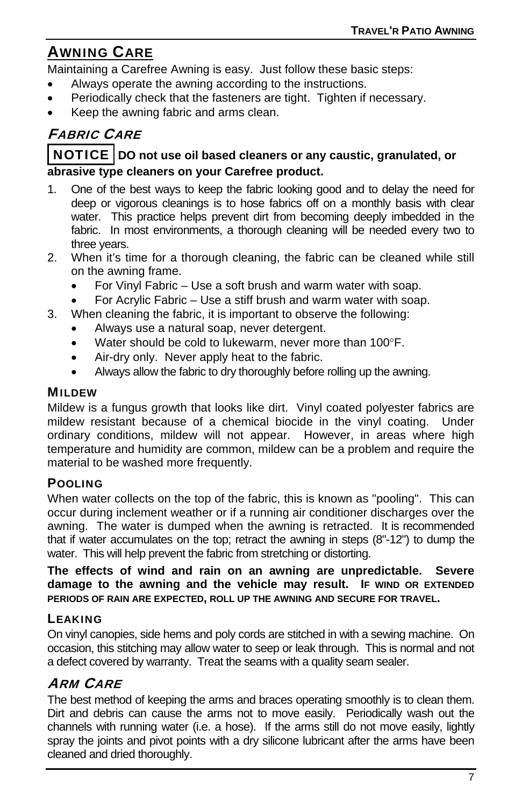# AWNING CARE

Maintaining a Carefree Awning is easy. Just follow these basic steps:

- Always operate the awning according to the instructions.
- Periodically check that the fasteners are tight. Tighten if necessary.
- Keep the awning fabric and arms clean.

## FABRIC CARE

#### NOTICE **DO not use oil based cleaners or any caustic, granulated, or abrasive type cleaners on your Carefree product.**

- 1. One of the best ways to keep the fabric looking good and to delay the need for deep or vigorous cleanings is to hose fabrics off on a monthly basis with clear water. This practice helps prevent dirt from becoming deeply imbedded in the fabric. In most environments, a thorough cleaning will be needed every two to three years.
- 2. When it's time for a thorough cleaning, the fabric can be cleaned while still on the awning frame.
	- For Vinyl Fabric Use a soft brush and warm water with soap.
	- For Acrylic Fabric Use a stiff brush and warm water with soap.
- 3. When cleaning the fabric, it is important to observe the following:
	- Always use a natural soap, never detergent.
	- $\bullet$  Water should be cold to lukewarm, never more than 100 $\degree$ F.
	- Air-dry only. Never apply heat to the fabric.
	- Always allow the fabric to dry thoroughly before rolling up the awning.

#### **MILDEW**

Mildew is a fungus growth that looks like dirt. Vinyl coated polyester fabrics are mildew resistant because of a chemical biocide in the vinyl coating. Under ordinary conditions, mildew will not appear. However, in areas where high temperature and humidity are common, mildew can be a problem and require the material to be washed more frequently.

#### POOLING

When water collects on the top of the fabric, this is known as "pooling". This can occur during inclement weather or if a running air conditioner discharges over the awning. The water is dumped when the awning is retracted. It is recommended that if water accumulates on the top; retract the awning in steps (8"-12") to dump the water. This will help prevent the fabric from stretching or distorting.

**The effects of wind and rain on an awning are unpredictable. Severe damage to the awning and the vehicle may result. IF WIND OR EXTENDED PERIODS OF RAIN ARE EXPECTED, ROLL UP THE AWNING AND SECURE FOR TRAVEL.** 

#### **LEAKING**

On vinyl canopies, side hems and poly cords are stitched in with a sewing machine. On occasion, this stitching may allow water to seep or leak through. This is normal and not a defect covered by warranty. Treat the seams with a quality seam sealer.

#### ARM CARE

The best method of keeping the arms and braces operating smoothly is to clean them. Dirt and debris can cause the arms not to move easily. Periodically wash out the channels with running water (i.e. a hose). If the arms still do not move easily, lightly spray the joints and pivot points with a dry silicone lubricant after the arms have been cleaned and dried thoroughly.